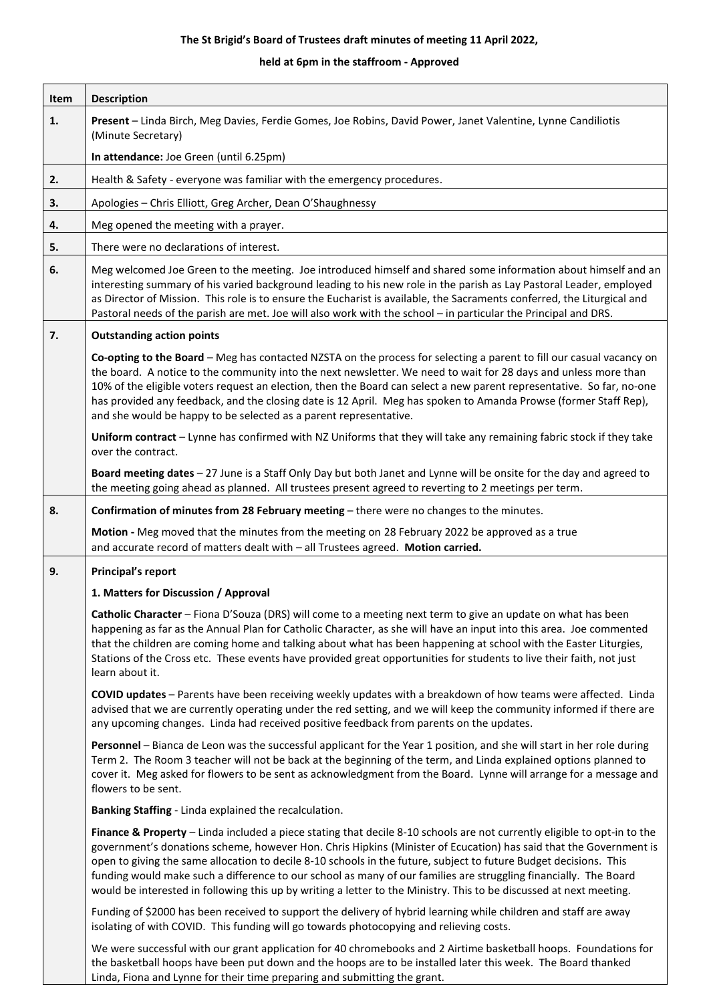## **The St Brigid's Board of Trustees draft minutes of meeting 11 April 2022,**

## **held at 6pm in the staffroom - Approved**

| Item | <b>Description</b>                                                                                                                                                                                                                                                                                                                                                                                                                                                                                                                                                                                            |
|------|---------------------------------------------------------------------------------------------------------------------------------------------------------------------------------------------------------------------------------------------------------------------------------------------------------------------------------------------------------------------------------------------------------------------------------------------------------------------------------------------------------------------------------------------------------------------------------------------------------------|
| 1.   | Present - Linda Birch, Meg Davies, Ferdie Gomes, Joe Robins, David Power, Janet Valentine, Lynne Candiliotis<br>(Minute Secretary)                                                                                                                                                                                                                                                                                                                                                                                                                                                                            |
|      | In attendance: Joe Green (until 6.25pm)                                                                                                                                                                                                                                                                                                                                                                                                                                                                                                                                                                       |
| 2.   | Health & Safety - everyone was familiar with the emergency procedures.                                                                                                                                                                                                                                                                                                                                                                                                                                                                                                                                        |
| 3.   | Apologies - Chris Elliott, Greg Archer, Dean O'Shaughnessy                                                                                                                                                                                                                                                                                                                                                                                                                                                                                                                                                    |
| 4.   | Meg opened the meeting with a prayer.                                                                                                                                                                                                                                                                                                                                                                                                                                                                                                                                                                         |
| 5.   | There were no declarations of interest.                                                                                                                                                                                                                                                                                                                                                                                                                                                                                                                                                                       |
| 6.   | Meg welcomed Joe Green to the meeting. Joe introduced himself and shared some information about himself and an<br>interesting summary of his varied background leading to his new role in the parish as Lay Pastoral Leader, employed<br>as Director of Mission. This role is to ensure the Eucharist is available, the Sacraments conferred, the Liturgical and<br>Pastoral needs of the parish are met. Joe will also work with the school - in particular the Principal and DRS.                                                                                                                           |
| 7.   | <b>Outstanding action points</b>                                                                                                                                                                                                                                                                                                                                                                                                                                                                                                                                                                              |
|      | Co-opting to the Board - Meg has contacted NZSTA on the process for selecting a parent to fill our casual vacancy on<br>the board. A notice to the community into the next newsletter. We need to wait for 28 days and unless more than<br>10% of the eligible voters request an election, then the Board can select a new parent representative. So far, no-one<br>has provided any feedback, and the closing date is 12 April. Meg has spoken to Amanda Prowse (former Staff Rep),<br>and she would be happy to be selected as a parent representative.                                                     |
|      | Uniform contract - Lynne has confirmed with NZ Uniforms that they will take any remaining fabric stock if they take<br>over the contract.                                                                                                                                                                                                                                                                                                                                                                                                                                                                     |
|      | Board meeting dates - 27 June is a Staff Only Day but both Janet and Lynne will be onsite for the day and agreed to<br>the meeting going ahead as planned. All trustees present agreed to reverting to 2 meetings per term.                                                                                                                                                                                                                                                                                                                                                                                   |
| 8.   | Confirmation of minutes from 28 February meeting - there were no changes to the minutes.                                                                                                                                                                                                                                                                                                                                                                                                                                                                                                                      |
|      | Motion - Meg moved that the minutes from the meeting on 28 February 2022 be approved as a true<br>and accurate record of matters dealt with - all Trustees agreed. Motion carried.                                                                                                                                                                                                                                                                                                                                                                                                                            |
| 9.   | <b>Principal's report</b>                                                                                                                                                                                                                                                                                                                                                                                                                                                                                                                                                                                     |
|      | 1. Matters for Discussion / Approval                                                                                                                                                                                                                                                                                                                                                                                                                                                                                                                                                                          |
|      | Catholic Character - Fiona D'Souza (DRS) will come to a meeting next term to give an update on what has been<br>happening as far as the Annual Plan for Catholic Character, as she will have an input into this area. Joe commented<br>that the children are coming home and talking about what has been happening at school with the Easter Liturgies,<br>Stations of the Cross etc. These events have provided great opportunities for students to live their faith, not just<br>learn about it.                                                                                                            |
|      | COVID updates - Parents have been receiving weekly updates with a breakdown of how teams were affected. Linda<br>advised that we are currently operating under the red setting, and we will keep the community informed if there are<br>any upcoming changes. Linda had received positive feedback from parents on the updates.                                                                                                                                                                                                                                                                               |
|      | Personnel - Bianca de Leon was the successful applicant for the Year 1 position, and she will start in her role during<br>Term 2. The Room 3 teacher will not be back at the beginning of the term, and Linda explained options planned to<br>cover it. Meg asked for flowers to be sent as acknowledgment from the Board. Lynne will arrange for a message and<br>flowers to be sent.                                                                                                                                                                                                                        |
|      | Banking Staffing - Linda explained the recalculation.                                                                                                                                                                                                                                                                                                                                                                                                                                                                                                                                                         |
|      | Finance & Property - Linda included a piece stating that decile 8-10 schools are not currently eligible to opt-in to the<br>government's donations scheme, however Hon. Chris Hipkins (Minister of Ecucation) has said that the Government is<br>open to giving the same allocation to decile 8-10 schools in the future, subject to future Budget decisions. This<br>funding would make such a difference to our school as many of our families are struggling financially. The Board<br>would be interested in following this up by writing a letter to the Ministry. This to be discussed at next meeting. |
|      | Funding of \$2000 has been received to support the delivery of hybrid learning while children and staff are away<br>isolating of with COVID. This funding will go towards photocopying and relieving costs.                                                                                                                                                                                                                                                                                                                                                                                                   |
|      | We were successful with our grant application for 40 chromebooks and 2 Airtime basketball hoops. Foundations for<br>the basketball hoops have been put down and the hoops are to be installed later this week. The Board thanked<br>Linda, Fiona and Lynne for their time preparing and submitting the grant.                                                                                                                                                                                                                                                                                                 |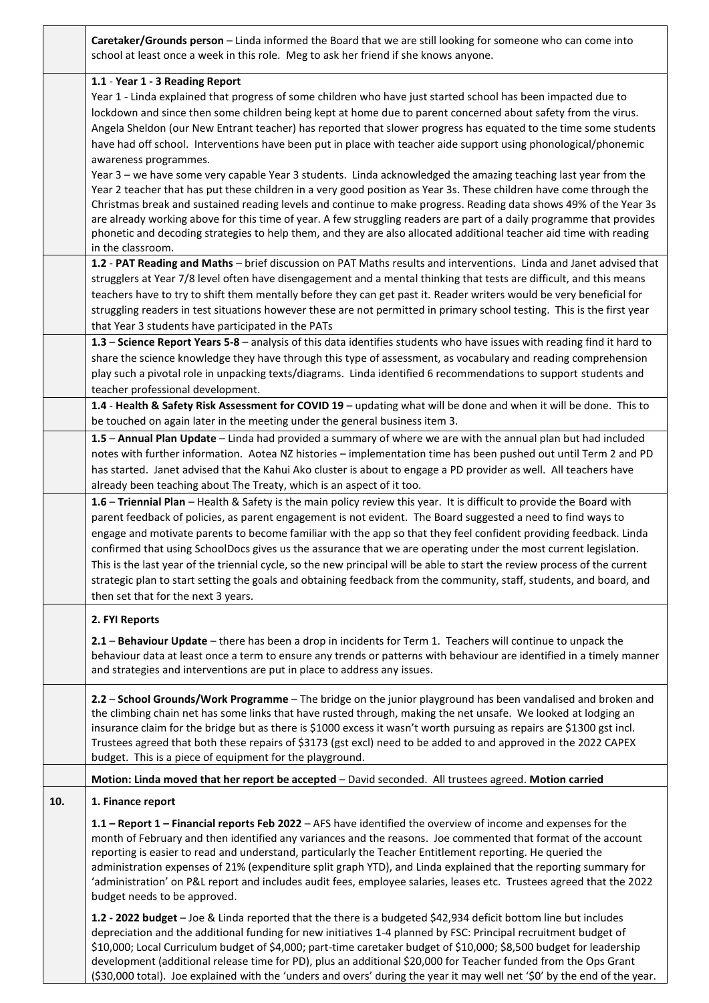|     | Caretaker/Grounds person - Linda informed the Board that we are still looking for someone who can come into<br>school at least once a week in this role. Meg to ask her friend if she knows anyone.                                                |
|-----|----------------------------------------------------------------------------------------------------------------------------------------------------------------------------------------------------------------------------------------------------|
|     | 1.1 - Year 1 - 3 Reading Report                                                                                                                                                                                                                    |
|     | Year 1 - Linda explained that progress of some children who have just started school has been impacted due to                                                                                                                                      |
|     | lockdown and since then some children being kept at home due to parent concerned about safety from the virus.                                                                                                                                      |
|     | Angela Sheldon (our New Entrant teacher) has reported that slower progress has equated to the time some students                                                                                                                                   |
|     | have had off school. Interventions have been put in place with teacher aide support using phonological/phonemic                                                                                                                                    |
|     | awareness programmes.                                                                                                                                                                                                                              |
|     | Year 3 - we have some very capable Year 3 students. Linda acknowledged the amazing teaching last year from the                                                                                                                                     |
|     | Year 2 teacher that has put these children in a very good position as Year 3s. These children have come through the<br>Christmas break and sustained reading levels and continue to make progress. Reading data shows 49% of the Year 3s           |
|     | are already working above for this time of year. A few struggling readers are part of a daily programme that provides                                                                                                                              |
|     | phonetic and decoding strategies to help them, and they are also allocated additional teacher aid time with reading                                                                                                                                |
|     | in the classroom.                                                                                                                                                                                                                                  |
|     | 1.2 - PAT Reading and Maths - brief discussion on PAT Maths results and interventions. Linda and Janet advised that                                                                                                                                |
|     | strugglers at Year 7/8 level often have disengagement and a mental thinking that tests are difficult, and this means                                                                                                                               |
|     | teachers have to try to shift them mentally before they can get past it. Reader writers would be very beneficial for                                                                                                                               |
|     | struggling readers in test situations however these are not permitted in primary school testing. This is the first year                                                                                                                            |
|     | that Year 3 students have participated in the PATs                                                                                                                                                                                                 |
|     | 1.3 - Science Report Years 5-8 - analysis of this data identifies students who have issues with reading find it hard to                                                                                                                            |
|     | share the science knowledge they have through this type of assessment, as vocabulary and reading comprehension                                                                                                                                     |
|     | play such a pivotal role in unpacking texts/diagrams. Linda identified 6 recommendations to support students and<br>teacher professional development.                                                                                              |
|     | 1.4 - Health & Safety Risk Assessment for COVID 19 - updating what will be done and when it will be done. This to                                                                                                                                  |
|     | be touched on again later in the meeting under the general business item 3.                                                                                                                                                                        |
|     | 1.5 - Annual Plan Update - Linda had provided a summary of where we are with the annual plan but had included                                                                                                                                      |
|     | notes with further information. Aotea NZ histories - implementation time has been pushed out until Term 2 and PD                                                                                                                                   |
|     | has started. Janet advised that the Kahui Ako cluster is about to engage a PD provider as well. All teachers have                                                                                                                                  |
|     | already been teaching about The Treaty, which is an aspect of it too.                                                                                                                                                                              |
|     | 1.6 - Triennial Plan - Health & Safety is the main policy review this year. It is difficult to provide the Board with                                                                                                                              |
|     | parent feedback of policies, as parent engagement is not evident. The Board suggested a need to find ways to                                                                                                                                       |
|     | engage and motivate parents to become familiar with the app so that they feel confident providing feedback. Linda                                                                                                                                  |
|     | confirmed that using SchoolDocs gives us the assurance that we are operating under the most current legislation.                                                                                                                                   |
|     | This is the last year of the triennial cycle, so the new principal will be able to start the review process of the current<br>strategic plan to start setting the goals and obtaining feedback from the community, staff, students, and board, and |
|     | then set that for the next 3 years.                                                                                                                                                                                                                |
|     |                                                                                                                                                                                                                                                    |
|     | 2. FYI Reports                                                                                                                                                                                                                                     |
|     | 2.1 - Behaviour Update - there has been a drop in incidents for Term 1. Teachers will continue to unpack the                                                                                                                                       |
|     | behaviour data at least once a term to ensure any trends or patterns with behaviour are identified in a timely manner                                                                                                                              |
|     |                                                                                                                                                                                                                                                    |
|     | and strategies and interventions are put in place to address any issues.                                                                                                                                                                           |
|     |                                                                                                                                                                                                                                                    |
|     | 2.2 - School Grounds/Work Programme - The bridge on the junior playground has been vandalised and broken and<br>the climbing chain net has some links that have rusted through, making the net unsafe. We looked at lodging an                     |
|     | insurance claim for the bridge but as there is \$1000 excess it wasn't worth pursuing as repairs are \$1300 gst incl.                                                                                                                              |
|     | Trustees agreed that both these repairs of \$3173 (gst excl) need to be added to and approved in the 2022 CAPEX                                                                                                                                    |
|     | budget. This is a piece of equipment for the playground.                                                                                                                                                                                           |
|     | Motion: Linda moved that her report be accepted - David seconded. All trustees agreed. Motion carried                                                                                                                                              |
| 10. | 1. Finance report                                                                                                                                                                                                                                  |
|     | 1.1 - Report 1 - Financial reports Feb 2022 - AFS have identified the overview of income and expenses for the                                                                                                                                      |
|     | month of February and then identified any variances and the reasons. Joe commented that format of the account                                                                                                                                      |
|     | reporting is easier to read and understand, particularly the Teacher Entitlement reporting. He queried the                                                                                                                                         |
|     | administration expenses of 21% (expenditure split graph YTD), and Linda explained that the reporting summary for                                                                                                                                   |
|     | 'administration' on P&L report and includes audit fees, employee salaries, leases etc. Trustees agreed that the 2022                                                                                                                               |
|     | budget needs to be approved.                                                                                                                                                                                                                       |
|     | 1.2 - 2022 budget - Joe & Linda reported that the there is a budgeted \$42,934 deficit bottom line but includes                                                                                                                                    |
|     | depreciation and the additional funding for new initiatives 1-4 planned by FSC: Principal recruitment budget of<br>\$10,000; Local Curriculum budget of \$4,000; part-time caretaker budget of \$10,000; \$8,500 budget for leadership             |

(\$30,000 total). Joe explained with the 'unders and overs' during the year it may well net '\$0' by the end of the year.